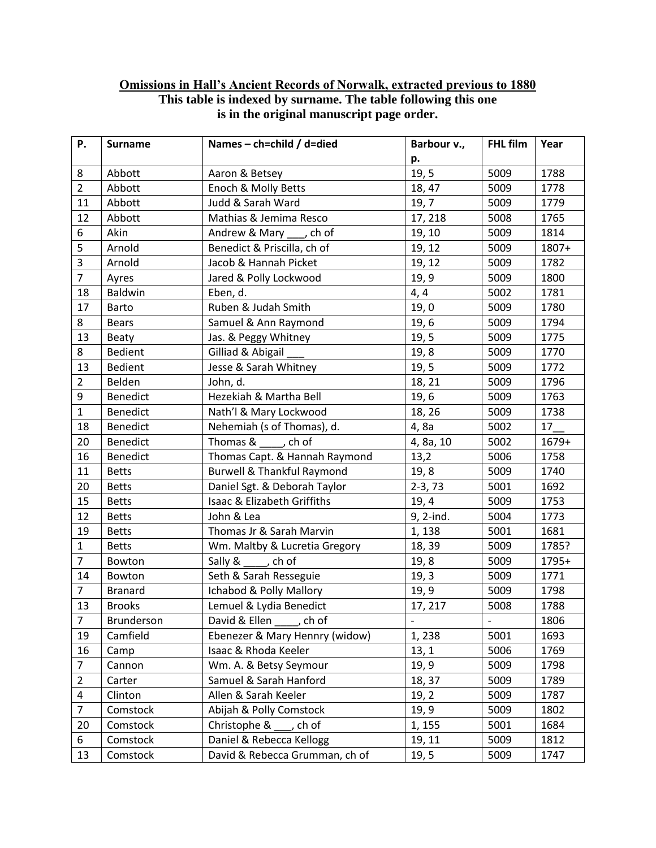## **Omissions in Hall's Ancient Records of Norwalk, extracted previous to 1880 This table is indexed by surname. The table following this one is in the original manuscript page order.**

| Ρ.             | <b>Surname</b>  | Names - ch=child / d=died                         | Barbour v.,              | FHL film       | Year  |
|----------------|-----------------|---------------------------------------------------|--------------------------|----------------|-------|
|                |                 |                                                   | p.                       |                |       |
| 8              | Abbott          | Aaron & Betsey                                    | 19, 5                    | 5009           | 1788  |
| $\overline{2}$ | Abbott          | Enoch & Molly Betts                               | 18, 47                   | 5009           | 1778  |
| 11             | Abbott          | Judd & Sarah Ward                                 | 19, 7                    | 5009           | 1779  |
| 12             | Abbott          | Mathias & Jemima Resco                            | 17, 218                  | 5008           | 1765  |
| 6              | Akin            | Andrew & Mary ___ , ch of                         | 19, 10                   | 5009           | 1814  |
| 5              | Arnold          | Benedict & Priscilla, ch of                       | 19, 12                   | 5009           | 1807+ |
| 3              | Arnold          | Jacob & Hannah Picket                             | 19, 12                   | 5009           | 1782  |
| $\overline{7}$ | Ayres           | Jared & Polly Lockwood                            | 19, 9                    | 5009           | 1800  |
| 18             | <b>Baldwin</b>  | Eben, d.                                          | 4, 4                     | 5002           | 1781  |
| 17             | <b>Barto</b>    | Ruben & Judah Smith                               | 19,0                     | 5009           | 1780  |
| 8              | <b>Bears</b>    | Samuel & Ann Raymond                              | 19,6                     | 5009           | 1794  |
| 13             | Beaty           | Jas. & Peggy Whitney                              | 19, 5                    | 5009           | 1775  |
| 8              | Bedient         | Gilliad & Abigail                                 | 19,8                     | 5009           | 1770  |
| 13             | <b>Bedient</b>  | Jesse & Sarah Whitney                             | 19, 5                    | 5009           | 1772  |
| $\overline{2}$ | Belden          | John, d.                                          | 18, 21                   | 5009           | 1796  |
| 9              | Benedict        | Hezekiah & Martha Bell                            | 19, 6                    | 5009           | 1763  |
| $\mathbf{1}$   | <b>Benedict</b> | Nath'l & Mary Lockwood                            | 18, 26                   | 5009           | 1738  |
| 18             | <b>Benedict</b> | Nehemiah (s of Thomas), d.                        | 4,8a                     | 5002           | 17    |
| 20             | <b>Benedict</b> | Thomas & , ch of                                  | 4, 8a, 10                | 5002           | 1679+ |
| 16             | <b>Benedict</b> | Thomas Capt. & Hannah Raymond                     | 13,2                     | 5006           | 1758  |
| 11             | <b>Betts</b>    | <b>Burwell &amp; Thankful Raymond</b>             | 19, 8                    | 5009           | 1740  |
| 20             | <b>Betts</b>    | Daniel Sgt. & Deborah Taylor                      | $2-3, 73$                | 5001           | 1692  |
| 15             | <b>Betts</b>    | Isaac & Elizabeth Griffiths                       | 19, 4                    | 5009           | 1753  |
| 12             | <b>Betts</b>    | John & Lea                                        | 9, 2-ind.                | 5004           | 1773  |
| 19             | <b>Betts</b>    | Thomas Jr & Sarah Marvin                          | 1, 138                   | 5001           | 1681  |
| $\mathbf{1}$   | <b>Betts</b>    | Wm. Maltby & Lucretia Gregory                     | 18, 39                   | 5009           | 1785? |
| $\overline{7}$ | Bowton          | Sally &<br>, ch of                                | 19, 8                    | 5009           | 1795+ |
| 14             | Bowton          | Seth & Sarah Resseguie                            | 19, 3                    | 5009           | 1771  |
| $\overline{7}$ | <b>Branard</b>  | Ichabod & Polly Mallory                           | 19, 9                    | 5009           | 1798  |
| 13             | <b>Brooks</b>   | Lemuel & Lydia Benedict                           | 17, 217                  | 5008           | 1788  |
| $\overline{7}$ | Brunderson      | David & Ellen<br>$\overline{\phantom{a}}$ , ch of | $\overline{\phantom{a}}$ | $\blacksquare$ | 1806  |
| 19             | Camfield        | Ebenezer & Mary Hennry (widow)                    | 1,238                    | 5001           | 1693  |
| 16             | Camp            | Isaac & Rhoda Keeler                              | 13, 1                    | 5006           | 1769  |
| $\overline{7}$ | Cannon          | Wm. A. & Betsy Seymour                            | 19, 9                    | 5009           | 1798  |
| $\overline{2}$ | Carter          | Samuel & Sarah Hanford                            | 18, 37                   | 5009           | 1789  |
| 4              | Clinton         | Allen & Sarah Keeler                              | 19, 2                    | 5009           | 1787  |
| $\overline{7}$ | Comstock        | Abijah & Polly Comstock                           | 19, 9                    | 5009           | 1802  |
| 20             | Comstock        | Christophe $\&$ ____, ch of                       | 1, 155                   | 5001           | 1684  |
| 6              | Comstock        | Daniel & Rebecca Kellogg                          | 19, 11                   | 5009           | 1812  |
| 13             | Comstock        | David & Rebecca Grumman, ch of                    | 19, 5                    | 5009           | 1747  |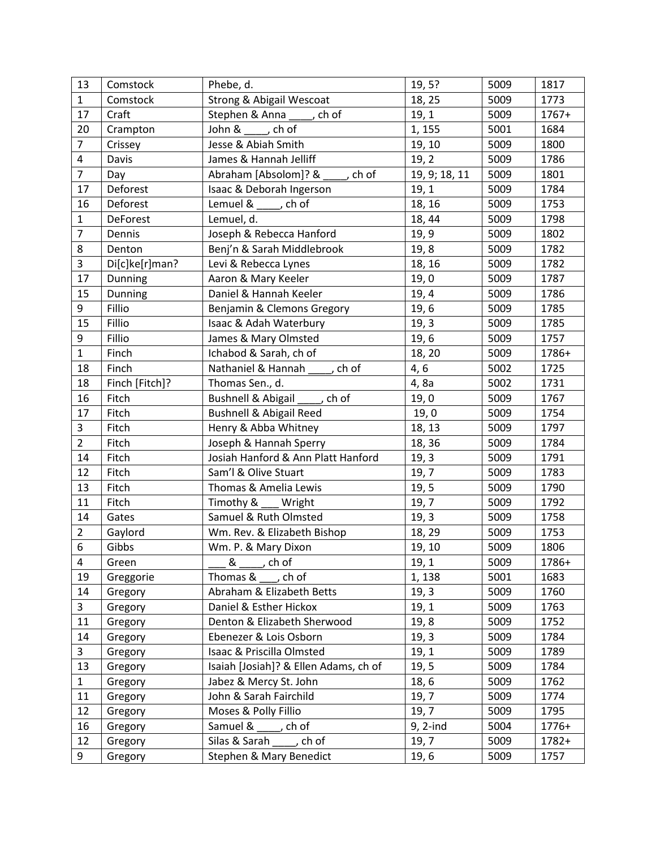| 13             | Comstock        | Phebe, d.                                              | 19, 5?        | 5009 | 1817  |
|----------------|-----------------|--------------------------------------------------------|---------------|------|-------|
| $\mathbf{1}$   | Comstock        | <b>Strong &amp; Abigail Wescoat</b>                    | 18, 25        | 5009 | 1773  |
| 17             | Craft           | Stephen & Anna ____, ch of                             | 19, 1         | 5009 | 1767+ |
| 20             | Crampton        | John &<br>, ch of                                      | 1, 155        | 5001 | 1684  |
| $\overline{7}$ | Crissey         | Jesse & Abiah Smith                                    | 19, 10        | 5009 | 1800  |
| $\pmb{4}$      | Davis           | James & Hannah Jelliff                                 | 19, 2         | 5009 | 1786  |
| $\overline{7}$ | Day             | Abraham [Absolom]? &<br>, ch of                        | 19, 9; 18, 11 | 5009 | 1801  |
| 17             | Deforest        | Isaac & Deborah Ingerson                               | 19, 1         | 5009 | 1784  |
| 16             | Deforest        | Lemuel & , ch of                                       | 18, 16        | 5009 | 1753  |
| $\mathbf{1}$   | <b>DeForest</b> | Lemuel, d.                                             | 18, 44        | 5009 | 1798  |
| $\overline{7}$ | Dennis          | Joseph & Rebecca Hanford                               | 19, 9         | 5009 | 1802  |
| 8              | Denton          | Benj'n & Sarah Middlebrook                             | 19,8          | 5009 | 1782  |
| 3              | Di[c]ke[r]man?  | Levi & Rebecca Lynes                                   | 18, 16        | 5009 | 1782  |
| 17             | Dunning         | Aaron & Mary Keeler                                    | 19,0          | 5009 | 1787  |
| 15             | Dunning         | Daniel & Hannah Keeler                                 | 19, 4         | 5009 | 1786  |
| 9              | Fillio          | Benjamin & Clemons Gregory                             | 19, 6         | 5009 | 1785  |
| 15             | Fillio          | Isaac & Adah Waterbury                                 | 19, 3         | 5009 | 1785  |
| 9              | Fillio          | James & Mary Olmsted                                   | 19,6          | 5009 | 1757  |
| $\mathbf 1$    | Finch           | Ichabod & Sarah, ch of                                 | 18, 20        | 5009 | 1786+ |
| 18             | Finch           | Nathaniel & Hannah , ch of                             | 4, 6          | 5002 | 1725  |
| 18             | Finch [Fitch]?  | Thomas Sen., d.                                        | 4,8a          | 5002 | 1731  |
| 16             | Fitch           | Bushnell & Abigail<br>$\overline{\phantom{a}}$ , ch of | 19,0          | 5009 | 1767  |
| 17             | Fitch           | <b>Bushnell &amp; Abigail Reed</b>                     | 19,0          | 5009 | 1754  |
| $\overline{3}$ | Fitch           | Henry & Abba Whitney                                   | 18, 13        | 5009 | 1797  |
| $\overline{2}$ | Fitch           | Joseph & Hannah Sperry                                 | 18, 36        | 5009 | 1784  |
| 14             | Fitch           | Josiah Hanford & Ann Platt Hanford                     | 19, 3         | 5009 | 1791  |
| 12             | Fitch           | Sam'l & Olive Stuart                                   | 19,7          | 5009 | 1783  |
| 13             | Fitch           | Thomas & Amelia Lewis                                  | 19, 5         | 5009 | 1790  |
| 11             | Fitch           | Timothy & ___ Wright                                   | 19,7          | 5009 | 1792  |
| 14             | Gates           | Samuel & Ruth Olmsted                                  | 19, 3         | 5009 | 1758  |
| $\overline{2}$ | Gaylord         | Wm. Rev. & Elizabeth Bishop                            | 18, 29        | 5009 | 1753  |
| 6              | Gibbs           | Wm. P. & Mary Dixon                                    | 19, 10        | 5009 | 1806  |
| 4              | Green           | &<br>ch of                                             | 19, 1         | 5009 | 1786+ |
| 19             | Greggorie       | Thomas & , ch of                                       | 1, 138        | 5001 | 1683  |
| 14             | Gregory         | Abraham & Elizabeth Betts                              | 19, 3         | 5009 | 1760  |
| $\mathbf{3}$   | Gregory         | Daniel & Esther Hickox                                 | 19, 1         | 5009 | 1763  |
| 11             | Gregory         | Denton & Elizabeth Sherwood                            | 19, 8         | 5009 | 1752  |
| 14             | Gregory         | Ebenezer & Lois Osborn                                 | 19, 3         | 5009 | 1784  |
| 3              | Gregory         | Isaac & Priscilla Olmsted                              | 19, 1         | 5009 | 1789  |
| 13             | Gregory         | Isaiah [Josiah]? & Ellen Adams, ch of                  | 19, 5         | 5009 | 1784  |
| $\mathbf{1}$   | Gregory         | Jabez & Mercy St. John                                 | 18, 6         | 5009 | 1762  |
| 11             | Gregory         | John & Sarah Fairchild                                 | 19,7          | 5009 | 1774  |
| 12             | Gregory         | Moses & Polly Fillio                                   | 19, 7         | 5009 | 1795  |
| 16             | Gregory         | Samuel &<br>ch of                                      | $9, 2$ -ind   | 5004 | 1776+ |
| 12             | Gregory         | Silas & Sarah<br>, ch of                               | 19,7          | 5009 | 1782+ |
| 9              | Gregory         | Stephen & Mary Benedict                                | 19, 6         | 5009 | 1757  |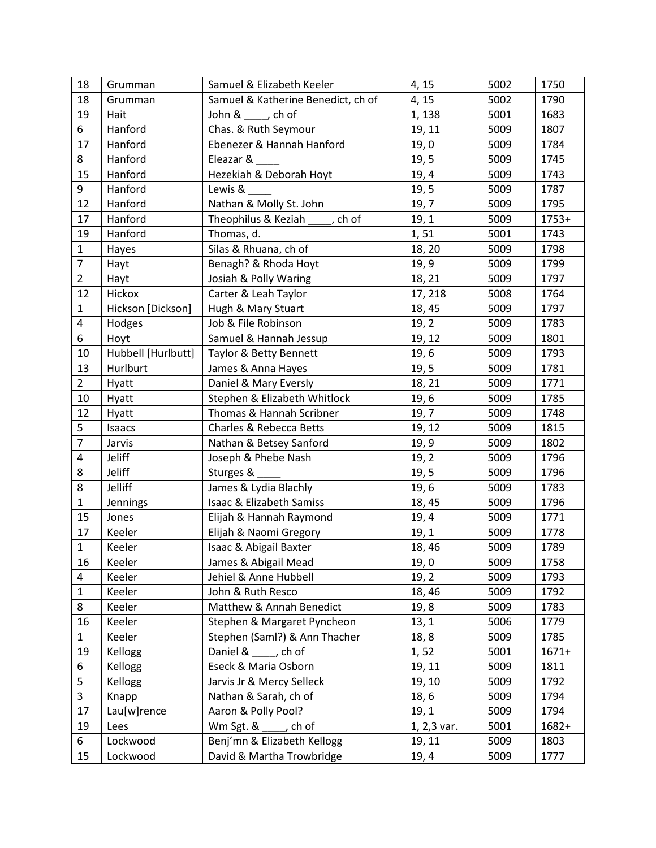| 18                      | Grumman            | Samuel & Elizabeth Keeler                  | 4, 15       | 5002 | 1750    |
|-------------------------|--------------------|--------------------------------------------|-------------|------|---------|
| 18                      | Grumman            | Samuel & Katherine Benedict, ch of         | 4, 15       | 5002 | 1790    |
| 19                      | Hait               | John &<br>$\overline{\phantom{a}}$ , ch of | 1, 138      | 5001 | 1683    |
| 6                       | Hanford            | Chas. & Ruth Seymour                       | 19, 11      | 5009 | 1807    |
| 17                      | Hanford            | Ebenezer & Hannah Hanford                  | 19,0        | 5009 | 1784    |
| 8                       | Hanford            | Eleazar &                                  | 19, 5       | 5009 | 1745    |
| 15                      | Hanford            | Hezekiah & Deborah Hoyt                    | 19, 4       | 5009 | 1743    |
| 9                       | Hanford            | Lewis &                                    | 19, 5       | 5009 | 1787    |
| 12                      | Hanford            | Nathan & Molly St. John                    | 19,7        | 5009 | 1795    |
| 17                      | Hanford            | Theophilus & Keziah<br>, ch of             | 19, 1       | 5009 | $1753+$ |
| 19                      | Hanford            | Thomas, d.                                 | 1,51        | 5001 | 1743    |
| $\mathbf{1}$            | Hayes              | Silas & Rhuana, ch of                      | 18, 20      | 5009 | 1798    |
| $\overline{7}$          | Hayt               | Benagh? & Rhoda Hoyt                       | 19, 9       | 5009 | 1799    |
| $\overline{2}$          | Hayt               | Josiah & Polly Waring                      | 18, 21      | 5009 | 1797    |
| 12                      | Hickox             | Carter & Leah Taylor                       | 17, 218     | 5008 | 1764    |
| $\mathbf 1$             | Hickson [Dickson]  | Hugh & Mary Stuart                         | 18, 45      | 5009 | 1797    |
| $\overline{\mathbf{4}}$ | Hodges             | Job & File Robinson                        | 19, 2       | 5009 | 1783    |
| 6                       | Hoyt               | Samuel & Hannah Jessup                     | 19, 12      | 5009 | 1801    |
| 10                      | Hubbell [Hurlbutt] | Taylor & Betty Bennett                     | 19,6        | 5009 | 1793    |
| 13                      | Hurlburt           | James & Anna Hayes                         | 19, 5       | 5009 | 1781    |
| $\overline{2}$          | Hyatt              | Daniel & Mary Eversly                      | 18, 21      | 5009 | 1771    |
| 10                      | Hyatt              | Stephen & Elizabeth Whitlock               | 19,6        | 5009 | 1785    |
| 12                      | Hyatt              | Thomas & Hannah Scribner                   | 19, 7       | 5009 | 1748    |
| 5                       | Isaacs             | Charles & Rebecca Betts                    | 19, 12      | 5009 | 1815    |
| $\overline{7}$          | Jarvis             | Nathan & Betsey Sanford                    | 19, 9       | 5009 | 1802    |
| 4                       | Jeliff             | Joseph & Phebe Nash                        | 19, 2       | 5009 | 1796    |
| 8                       | Jeliff             | Sturges &                                  | 19, 5       | 5009 | 1796    |
| 8                       | Jelliff            | James & Lydia Blachly                      | 19, 6       | 5009 | 1783    |
| $\mathbf{1}$            | Jennings           | Isaac & Elizabeth Samiss                   | 18, 45      | 5009 | 1796    |
| 15                      | Jones              | Elijah & Hannah Raymond                    | 19, 4       | 5009 | 1771    |
| 17                      | Keeler             | Elijah & Naomi Gregory                     | 19, 1       | 5009 | 1778    |
| $\mathbf{1}$            | Keeler             | Isaac & Abigail Baxter                     | 18, 46      | 5009 | 1789    |
| 16                      | Keeler             | James & Abigail Mead                       | 19,0        | 5009 | 1758    |
| $\overline{4}$          | Keeler             | Jehiel & Anne Hubbell                      | 19, 2       | 5009 | 1793    |
| $\mathbf{1}$            | Keeler             | John & Ruth Resco                          | 18, 46      | 5009 | 1792    |
| 8                       | Keeler             | Matthew & Annah Benedict                   | 19, 8       | 5009 | 1783    |
| 16                      | Keeler             | Stephen & Margaret Pyncheon                | 13, 1       | 5006 | 1779    |
| $\mathbf{1}$            | Keeler             | Stephen (Saml?) & Ann Thacher              | 18,8        | 5009 | 1785    |
| 19                      | Kellogg            | Daniel &<br>, ch of                        | 1, 52       | 5001 | $1671+$ |
| 6                       | Kellogg            | Eseck & Maria Osborn                       | 19, 11      | 5009 | 1811    |
| 5                       | Kellogg            | Jarvis Jr & Mercy Selleck                  | 19, 10      | 5009 | 1792    |
| 3                       | Knapp              | Nathan & Sarah, ch of                      | 18, 6       | 5009 | 1794    |
| 17                      | Lau[w]rence        | Aaron & Polly Pool?                        | 19, 1       | 5009 | 1794    |
| 19                      | Lees               | Wm Sgt. &<br>, ch of                       | 1, 2,3 var. | 5001 | 1682+   |
| 6                       | Lockwood           | Benj'mn & Elizabeth Kellogg                | 19, 11      | 5009 | 1803    |
| 15                      | Lockwood           | David & Martha Trowbridge                  | 19, 4       | 5009 | 1777    |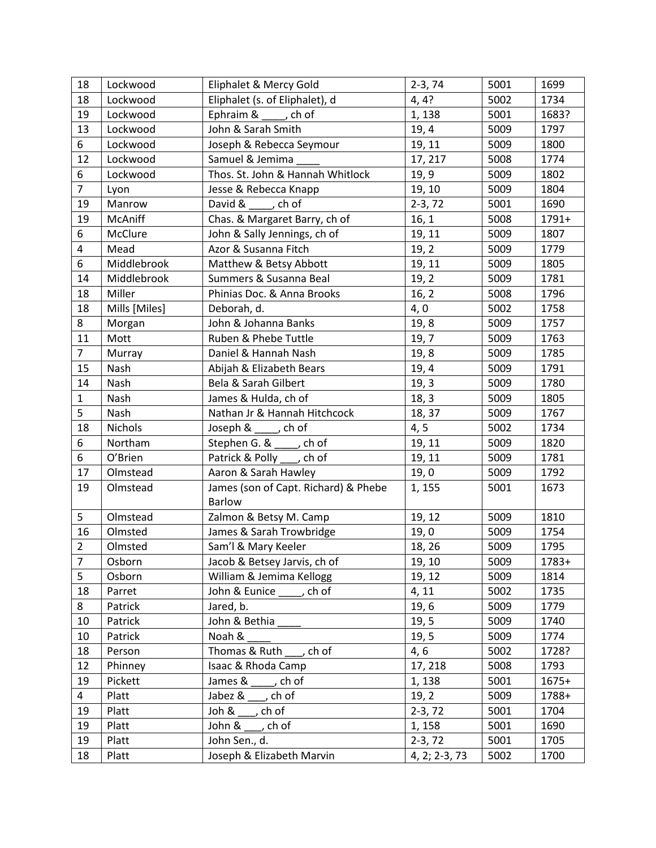| 18             | Lockwood          | Eliphalet & Mercy Gold                                | $2-3, 74$       | 5001 | 1699    |
|----------------|-------------------|-------------------------------------------------------|-----------------|------|---------|
| 18             | Lockwood          | Eliphalet (s. of Eliphalet), d                        | 4, 4?           | 5002 | 1734    |
| 19             | Lockwood          | Ephraim & _____, ch of                                | 1, 138          | 5001 | 1683?   |
| 13             | Lockwood          | John & Sarah Smith                                    | 19, 4           | 5009 | 1797    |
| 6              | Lockwood          | Joseph & Rebecca Seymour                              | 19, 11          | 5009 | 1800    |
| 12             | Lockwood          | Samuel & Jemima                                       | 17, 217         | 5008 | 1774    |
| 6              | Lockwood          | Thos. St. John & Hannah Whitlock                      | 19, 9           | 5009 | 1802    |
| $\overline{7}$ | Lyon              | Jesse & Rebecca Knapp                                 | 19, 10          | 5009 | 1804    |
| 19             | Manrow            | David & , ch of                                       | $2-3, 72$       | 5001 | 1690    |
| 19             | McAniff           | Chas. & Margaret Barry, ch of                         | 16, 1           | 5008 | 1791+   |
| 6              | McClure           | John & Sally Jennings, ch of                          | 19, 11          | 5009 | 1807    |
| $\overline{4}$ | Mead              | Azor & Susanna Fitch                                  | 19, 2           | 5009 | 1779    |
| 6              | Middlebrook       | Matthew & Betsy Abbott                                | 19, 11          | 5009 | 1805    |
| 14             | Middlebrook       | Summers & Susanna Beal                                | 19, 2           | 5009 | 1781    |
| 18             | Miller            | Phinias Doc. & Anna Brooks                            | 16, 2           | 5008 | 1796    |
| 18             | Mills [Miles]     | Deborah, d.                                           | 4, 0            | 5002 | 1758    |
| 8              | Morgan            | John & Johanna Banks                                  | 19, 8           | 5009 | 1757    |
| 11             | Mott              | Ruben & Phebe Tuttle                                  | 19,7            | 5009 | 1763    |
| $\overline{7}$ | Murray            | Daniel & Hannah Nash                                  | 19, 8           | 5009 | 1785    |
| 15             | Nash              | Abijah & Elizabeth Bears                              | 19, 4           | 5009 | 1791    |
| 14             | Nash              | Bela & Sarah Gilbert                                  | 19, 3           | 5009 | 1780    |
| $\mathbf{1}$   | Nash              | James & Hulda, ch of                                  | 18, 3           | 5009 | 1805    |
| 5              | Nash              | Nathan Jr & Hannah Hitchcock                          | 18, 37          | 5009 | 1767    |
| 18             | <b>Nichols</b>    | Joseph & $\rule{1em}{0.15mm}$ ch of                   | 4, 5            | 5002 | 1734    |
| 6              | Northam           | Stephen G. & _____, ch of                             | 19, 11          | 5009 | 1820    |
| 6              | O'Brien           | Patrick & Polly ____, ch of                           | 19, 11          | 5009 | 1781    |
| 17             | Olmstead          | Aaron & Sarah Hawley                                  | 19,0            | 5009 | 1792    |
| 19             | Olmstead          | James (son of Capt. Richard) & Phebe<br><b>Barlow</b> | 1, 155          | 5001 | 1673    |
| 5              | Olmstead          | Zalmon & Betsy M. Camp                                | 19, 12          | 5009 | 1810    |
| 16             | Olmsted           | James & Sarah Trowbridge                              | 19,0            | 5009 | 1754    |
| $\overline{2}$ | Olmsted           | Sam'l & Mary Keeler                                   | 18, 26          | 5009 | 1795    |
| $\overline{7}$ | Osborn            | Jacob & Betsey Jarvis, ch of                          | 19, 10          | 5009 | 1783+   |
| 5              | Osborn            | William & Jemima Kellogg                              | 19, 12          | 5009 | 1814    |
| 18             | Parret            | John & Eunice<br>, ch of                              | 4, 11           | 5002 | 1735    |
| 8              | Patrick           | Jared, b.                                             | 19, 6           | 5009 | 1779    |
| 10             | Patrick           | John & Bethia                                         | 19, 5           | 5009 | 1740    |
| 10             | Patrick           | Noah &                                                | 19, 5           | 5009 | 1774    |
| 18             |                   | Thomas & Ruth<br>, ch of                              |                 | 5002 | 1728?   |
| 12             | Person<br>Phinney | Isaac & Rhoda Camp                                    | 4, 6<br>17, 218 | 5008 | 1793    |
|                |                   |                                                       |                 |      |         |
| 19             | Pickett           | James &<br>, ch of<br>Jabez &                         | 1, 138          | 5001 | $1675+$ |
| $\overline{4}$ | Platt             | $\overline{\phantom{a}}$ , ch of                      | 19, 2           | 5009 | 1788+   |
| 19             | Platt             | $\overline{\phantom{a}}$ , ch of<br>Joh &             | $2-3, 72$       | 5001 | 1704    |
| 19             | Platt             | John &<br>ch of                                       | 1, 158          | 5001 | 1690    |
| 19             | Platt             | John Sen., d.                                         | $2-3, 72$       | 5001 | 1705    |
| 18             | Platt             | Joseph & Elizabeth Marvin                             | 4, 2; 2-3, 73   | 5002 | 1700    |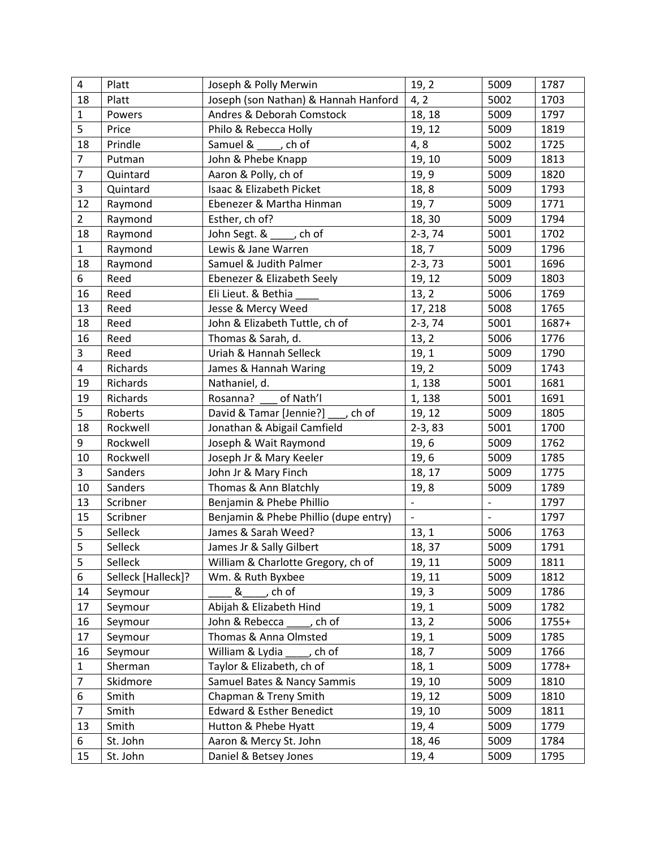| $\overline{4}$ | Platt              | Joseph & Polly Merwin                 | 19, 2                    | 5009                     | 1787    |
|----------------|--------------------|---------------------------------------|--------------------------|--------------------------|---------|
| 18             | Platt              | Joseph (son Nathan) & Hannah Hanford  | 4, 2                     | 5002                     | 1703    |
| $\mathbf{1}$   | Powers             | Andres & Deborah Comstock             | 18, 18                   | 5009                     | 1797    |
| 5              | Price              | Philo & Rebecca Holly                 | 19, 12                   | 5009                     | 1819    |
| 18             | Prindle            | Samuel & _____, ch of                 | 4,8                      | 5002                     | 1725    |
| $\overline{7}$ | Putman             | John & Phebe Knapp                    | 19, 10                   | 5009                     | 1813    |
| $\overline{7}$ | Quintard           | Aaron & Polly, ch of                  | 19, 9                    | 5009                     | 1820    |
| 3              | Quintard           | Isaac & Elizabeth Picket              | 18,8                     | 5009                     | 1793    |
| 12             | Raymond            | Ebenezer & Martha Hinman              | 19, 7                    | 5009                     | 1771    |
| $\overline{2}$ | Raymond            | Esther, ch of?                        | 18, 30                   | 5009                     | 1794    |
| 18             | Raymond            | John Segt. & _____, ch of             | $2-3, 74$                | 5001                     | 1702    |
| $\mathbf{1}$   | Raymond            | Lewis & Jane Warren                   | 18, 7                    | 5009                     | 1796    |
| 18             | Raymond            | Samuel & Judith Palmer                | $2-3, 73$                | 5001                     | 1696    |
| 6              | Reed               | Ebenezer & Elizabeth Seely            | 19, 12                   | 5009                     | 1803    |
| 16             | Reed               | Eli Lieut. & Bethia                   | 13, 2                    | 5006                     | 1769    |
| 13             | Reed               | Jesse & Mercy Weed                    | 17, 218                  | 5008                     | 1765    |
| 18             | Reed               | John & Elizabeth Tuttle, ch of        | $2-3, 74$                | 5001                     | 1687+   |
| 16             | Reed               | Thomas & Sarah, d.                    | 13, 2                    | 5006                     | 1776    |
| 3              | Reed               | Uriah & Hannah Selleck                | 19, 1                    | 5009                     | 1790    |
| 4              | Richards           | James & Hannah Waring                 | 19, 2                    | 5009                     | 1743    |
| 19             | Richards           | Nathaniel, d.                         | 1, 138                   | 5001                     | 1681    |
| 19             | Richards           | of Nath'l<br>Rosanna?                 | 1, 138                   | 5001                     | 1691    |
| 5              | Roberts            | David & Tamar [Jennie?]<br>, ch of    | 19, 12                   | 5009                     | 1805    |
| 18             | Rockwell           | Jonathan & Abigail Camfield           | $2-3, 83$                | 5001                     | 1700    |
| 9              | Rockwell           | Joseph & Wait Raymond                 | 19, 6                    | 5009                     | 1762    |
| 10             | Rockwell           | Joseph Jr & Mary Keeler               | 19, 6                    | 5009                     | 1785    |
| $\overline{3}$ | Sanders            | John Jr & Mary Finch                  | 18, 17                   | 5009                     | 1775    |
| 10             | Sanders            | Thomas & Ann Blatchly                 | 19, 8                    | 5009                     | 1789    |
| 13             | Scribner           | Benjamin & Phebe Phillio              | $\overline{\phantom{a}}$ | $\overline{\phantom{a}}$ | 1797    |
| 15             | Scribner           | Benjamin & Phebe Phillio (dupe entry) | $\overline{\phantom{a}}$ | $\blacksquare$           | 1797    |
| 5              | Selleck            | James & Sarah Weed?                   | 13, 1                    | 5006                     | 1763    |
| 5              | Selleck            | James Jr & Sally Gilbert              | 18, 37                   | 5009                     | 1791    |
| 5              | Selleck            | William & Charlotte Gregory, ch of    | 19, 11                   | 5009                     | 1811    |
| 6              | Selleck [Halleck]? | Wm. & Ruth Byxbee                     | 19, 11                   | 5009                     | 1812    |
| 14             | Seymour            | , ch of<br>&                          | 19, 3                    | 5009                     | 1786    |
| 17             | Seymour            | Abijah & Elizabeth Hind               | 19, 1                    | 5009                     | 1782    |
| 16             | Seymour            | John & Rebecca<br>, ch of             | 13, 2                    | 5006                     | $1755+$ |
| 17             | Seymour            | Thomas & Anna Olmsted                 | 19, 1                    | 5009                     | 1785    |
| 16             | Seymour            | William & Lydia<br>, ch of            | 18, 7                    | 5009                     | 1766    |
| $\mathbf{1}$   | Sherman            | Taylor & Elizabeth, ch of             | 18, 1                    | 5009                     | 1778+   |
| $\overline{7}$ | Skidmore           | Samuel Bates & Nancy Sammis           | 19, 10                   | 5009                     | 1810    |
| 6              | Smith              | Chapman & Treny Smith                 | 19, 12                   | 5009                     | 1810    |
| $\overline{7}$ | Smith              | <b>Edward &amp; Esther Benedict</b>   | 19, 10                   | 5009                     | 1811    |
| 13             | Smith              | Hutton & Phebe Hyatt                  | 19, 4                    | 5009                     | 1779    |
| 6              | St. John           | Aaron & Mercy St. John                | 18, 46                   | 5009                     | 1784    |
| 15             | St. John           | Daniel & Betsey Jones                 | 19, 4                    | 5009                     | 1795    |